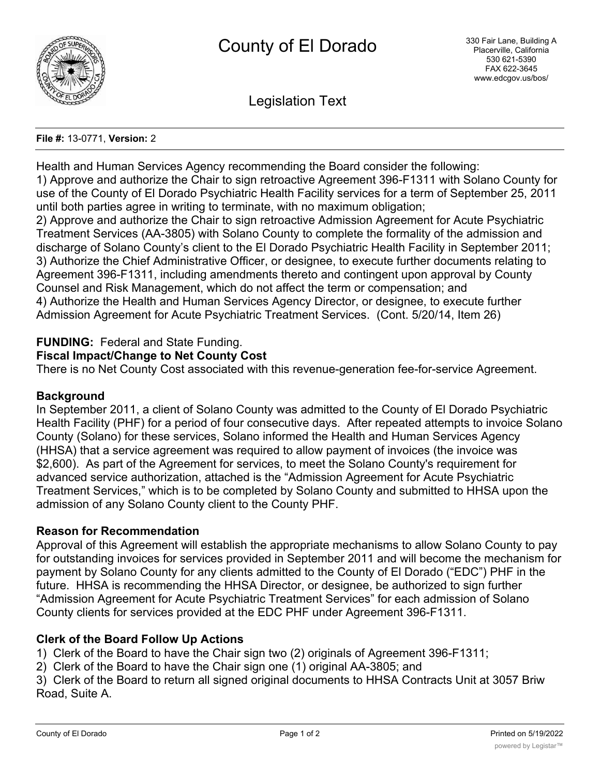

Legislation Text

#### **File #:** 13-0771, **Version:** 2

Health and Human Services Agency recommending the Board consider the following: 1) Approve and authorize the Chair to sign retroactive Agreement 396-F1311 with Solano County for use of the County of El Dorado Psychiatric Health Facility services for a term of September 25, 2011 until both parties agree in writing to terminate, with no maximum obligation; 2) Approve and authorize the Chair to sign retroactive Admission Agreement for Acute Psychiatric Treatment Services (AA-3805) with Solano County to complete the formality of the admission and

discharge of Solano County's client to the El Dorado Psychiatric Health Facility in September 2011; 3) Authorize the Chief Administrative Officer, or designee, to execute further documents relating to Agreement 396-F1311, including amendments thereto and contingent upon approval by County Counsel and Risk Management, which do not affect the term or compensation; and 4) Authorize the Health and Human Services Agency Director, or designee, to execute further Admission Agreement for Acute Psychiatric Treatment Services. (Cont. 5/20/14, Item 26)

## **FUNDING:** Federal and State Funding.

### **Fiscal Impact/Change to Net County Cost**

There is no Net County Cost associated with this revenue-generation fee-for-service Agreement.

### **Background**

In September 2011, a client of Solano County was admitted to the County of El Dorado Psychiatric Health Facility (PHF) for a period of four consecutive days. After repeated attempts to invoice Solano County (Solano) for these services, Solano informed the Health and Human Services Agency (HHSA) that a service agreement was required to allow payment of invoices (the invoice was \$2,600). As part of the Agreement for services, to meet the Solano County's requirement for advanced service authorization, attached is the "Admission Agreement for Acute Psychiatric Treatment Services," which is to be completed by Solano County and submitted to HHSA upon the admission of any Solano County client to the County PHF.

### **Reason for Recommendation**

Approval of this Agreement will establish the appropriate mechanisms to allow Solano County to pay for outstanding invoices for services provided in September 2011 and will become the mechanism for payment by Solano County for any clients admitted to the County of El Dorado ("EDC") PHF in the future. HHSA is recommending the HHSA Director, or designee, be authorized to sign further "Admission Agreement for Acute Psychiatric Treatment Services" for each admission of Solano County clients for services provided at the EDC PHF under Agreement 396-F1311.

### **Clerk of the Board Follow Up Actions**

1) Clerk of the Board to have the Chair sign two (2) originals of Agreement 396-F1311;

2) Clerk of the Board to have the Chair sign one (1) original AA-3805; and

3) Clerk of the Board to return all signed original documents to HHSA Contracts Unit at 3057 Briw Road, Suite A.